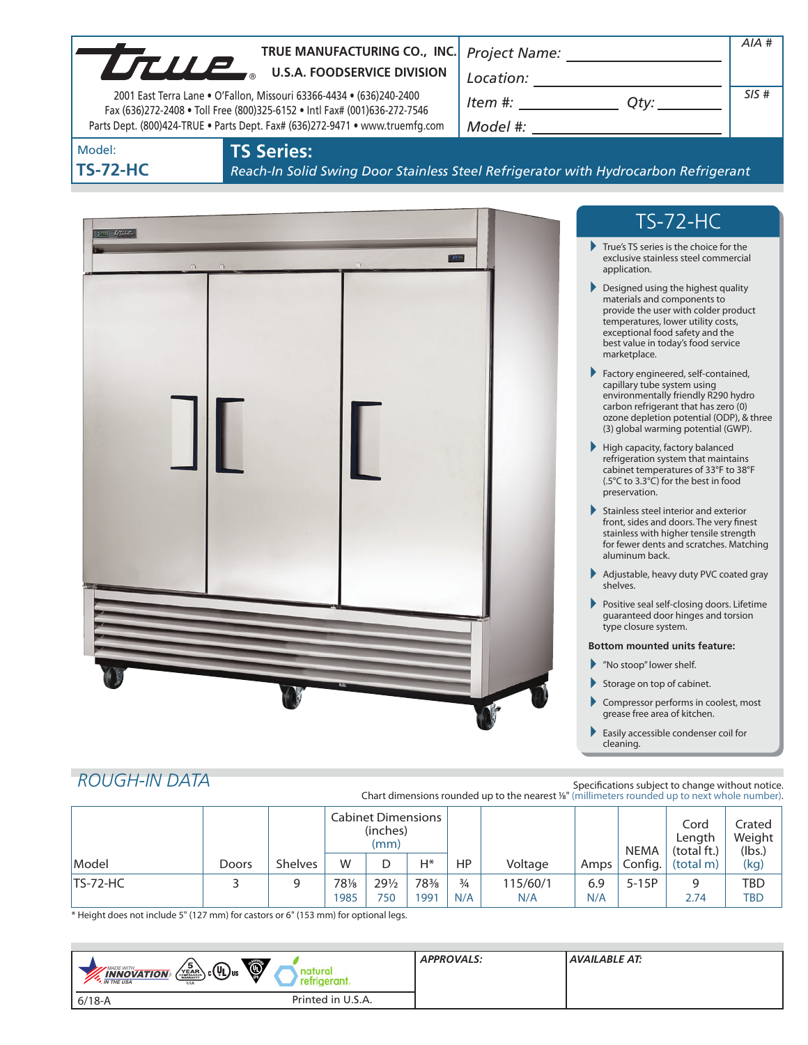| Model:<br><b>TS-72-HC</b> | 2001 East Terra Lane . O'Fallon, Missouri 63366-4434 . (636)240-2400<br>Fax (636)272-2408 . Toll Free (800)325-6152 . Intl Fax# (001)636-272-7546<br><b>TS Series:</b> | TRUE MANUFACTURING CO., INC.<br>TRUE MANUFACTURING CO., INC<br>Parts Dept. (800)424-TRUE . Parts Dept. Fax# (636)272-9471 . www.truemfg.com<br>Reach-In Solid Swing Door Stainless Steel Refrigerator with Hydrocarbon Refrigerant | $Item #: __________ Qty: __________$                                                                                                                                                                                                                                                                                                                                                                                                                                                                                                                                                                                                                                                                                                                                                                                                                                                                                                                                                                                                                                                                                                          | $AIA$ #<br>SIS# |
|---------------------------|------------------------------------------------------------------------------------------------------------------------------------------------------------------------|------------------------------------------------------------------------------------------------------------------------------------------------------------------------------------------------------------------------------------|-----------------------------------------------------------------------------------------------------------------------------------------------------------------------------------------------------------------------------------------------------------------------------------------------------------------------------------------------------------------------------------------------------------------------------------------------------------------------------------------------------------------------------------------------------------------------------------------------------------------------------------------------------------------------------------------------------------------------------------------------------------------------------------------------------------------------------------------------------------------------------------------------------------------------------------------------------------------------------------------------------------------------------------------------------------------------------------------------------------------------------------------------|-----------------|
| $5 -$ true                |                                                                                                                                                                        |                                                                                                                                                                                                                                    | <b>TS-72-HC</b><br>True's TS series is the choice for the<br>exclusive stainless steel commercial<br>application.<br>Designed using the highest quality<br>materials and components to<br>provide the user with colder product<br>temperatures, lower utility costs,<br>exceptional food safety and the<br>best value in today's food service<br>marketplace.<br>Factory engineered, self-contained,<br>capillary tube system using<br>environmentally friendly R290 hydro<br>carbon refrigerant that has zero (0)<br>ozone depletion potential (ODP), & three<br>(3) global warming potential (GWP).<br>High capacity, factory balanced<br>refrigeration system that maintains<br>cabinet temperatures of 33°F to 38°F<br>(.5°C to 3.3°C) for the best in food<br>preservation.<br>Stainless steel interior and exterior<br>front, sides and doors. The very finest<br>stainless with higher tensile strength<br>for fewer dents and scratches. Matching<br>aluminum back.<br>Adjustable, heavy duty PVC coated gray<br>shelves.<br>Positive seal self-closing doors. Lifetime<br>guaranteed door hinges and torsion<br>type closure system. |                 |
|                           |                                                                                                                                                                        |                                                                                                                                                                                                                                    | <b>Bottom mounted units feature:</b><br>Mo stoop" lower shelf.<br>Storage on top of cabinet.<br>Compressor performs in coolest, most<br>grease free area of kitchen.<br>Easily accessible condenser coil for<br>cleaning.                                                                                                                                                                                                                                                                                                                                                                                                                                                                                                                                                                                                                                                                                                                                                                                                                                                                                                                     |                 |

# *ROUGH-IN DATA*

Specifications subject to change without notice. Chart dimensions rounded up to the nearest <sup>1</sup>/8" (millimeters rounded up to next whole number).

|            |       |                | <b>Cabinet Dimensions</b><br>(inches)<br>(mm) |                        |             |                      |                 | <b>NEMA</b> | Cord<br>Length<br>(total ft.) | Crated<br>Weight<br>(lbs.) |            |
|------------|-------|----------------|-----------------------------------------------|------------------------|-------------|----------------------|-----------------|-------------|-------------------------------|----------------------------|------------|
| Model      | Doors | <b>Shelves</b> | W                                             | D                      | $H^*$       | HP.                  | Voltage         | Amps        |                               | Config. $ $ (total m)      | (kg)       |
| $TS-72-HC$ |       | 9              | 781/8<br>1985                                 | $29\frac{1}{2}$<br>750 | 78%<br>991' | $\frac{3}{4}$<br>N/A | 115/60/1<br>N/A | 6.9<br>N/A  | 5-15P                         | q<br>2.74                  | TBD<br>TBD |

\* Height does not include 5" (127 mm) for castors or 6" (153 mm) for optional legs.

| Ö<br>$\left(\sum_{k=0}^{5} B_{k} R_{k} \right)$ c $(U_L)$ us<br><b>MADE WITH_</b><br><b>INNOVATION</b><br>erant<br><b>M</b> THE USA<br><b>USA</b> | <b>APPROVALS:</b> | AVAILABLE AT: |
|---------------------------------------------------------------------------------------------------------------------------------------------------|-------------------|---------------|
| Printed in U.S.A.<br>$6/18 - A$                                                                                                                   |                   |               |